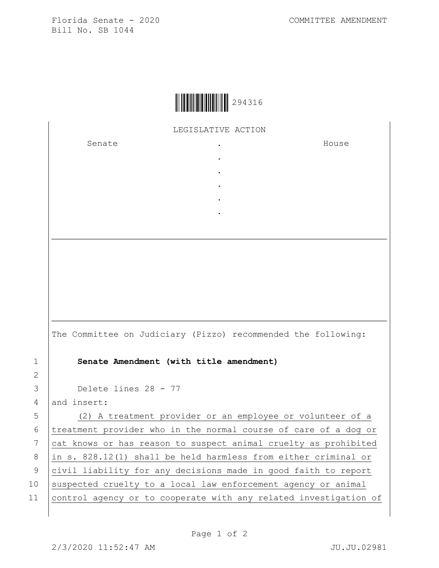Florida Senate - 2020 COMMITTEE AMENDMENT Bill No. SB 1044



LEGISLATIVE ACTION

. . . . .

Senate .

House

|                 | The Committee on Judiciary (Pizzo) recommended the following:   |
|-----------------|-----------------------------------------------------------------|
| 1               | Senate Amendment (with title amendment)                         |
| 2               |                                                                 |
| 3               | Delete lines 28 - 77                                            |
| $\overline{4}$  | and insert:                                                     |
| 5               | (2) A treatment provider or an employee or volunteer of a       |
| 6               | treatment provider who in the normal course of care of a dog or |
| $7\phantom{.0}$ | cat knows or has reason to suspect animal cruelty as prohibited |
| 8               | in s. 828.12(1) shall be held harmless from either criminal or  |
| 9               | civil liability for any decisions made in good faith to report  |
| 10              | suspected cruelty to a local law enforcement agency or animal   |

Page 1 of 2

11 control agency or to cooperate with any related investigation of